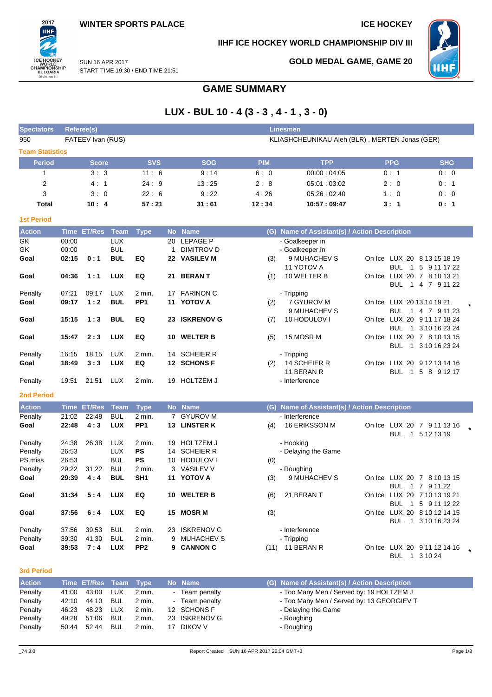2017 **IIHF** 

ICE HOCKEY<br>WORLD<br>CHAMPIONSHIP<br>BULGARIA<br>Division III

## **IIHF ICE HOCKEY WORLD CHAMPIONSHIP DIV III**



**GOLD MEDAL GAME, GAME 20**

SUN 16 APR 2017 START TIME 19:30 / END TIME 21:51

# **GAME SUMMARY**

# **LUX - BUL 10 - 4 (3 - 3 , 4 - 1 , 3 - 0)**

| <b>Spectators</b>      | Referee(s)<br>Linesmen |                                                                     |                          |                           |              |                            |            |                                               |            |                                                  |  |  |
|------------------------|------------------------|---------------------------------------------------------------------|--------------------------|---------------------------|--------------|----------------------------|------------|-----------------------------------------------|------------|--------------------------------------------------|--|--|
| 950                    |                        | FATEEV Ivan (RUS)<br>KLIASHCHEUNIKAU Aleh (BLR), MERTEN Jonas (GER) |                          |                           |              |                            |            |                                               |            |                                                  |  |  |
| <b>Team Statistics</b> |                        |                                                                     |                          |                           |              |                            |            |                                               |            |                                                  |  |  |
| <b>Period</b>          |                        | <b>Score</b>                                                        |                          | <b>SVS</b>                |              | <b>SOG</b>                 | <b>PIM</b> | <b>TPP</b>                                    | <b>PPG</b> | <b>SHG</b>                                       |  |  |
| 1                      |                        | 3:3                                                                 |                          | 11:6                      |              | 9:14                       | 6:0        | 00:00:04:05                                   | 0:1        | 0:0                                              |  |  |
| $\overline{2}$         |                        | 4:1                                                                 |                          | 24:9                      |              | 13:25                      | 2:8        | 05:01:03:02                                   | 2:0        | 0:1                                              |  |  |
| 3                      |                        | 3:0                                                                 |                          | 22:6                      |              | 9:22                       | 4:26       | 05:26:02:40                                   | 1:0        | 0:0                                              |  |  |
| <b>Total</b>           |                        | 10:4                                                                |                          | 57:21                     |              | 31:61                      | 12:34      | 10:57:09:47                                   | 3:1        | 0:1                                              |  |  |
| <b>1st Period</b>      |                        |                                                                     |                          |                           |              |                            |            |                                               |            |                                                  |  |  |
| <b>Action</b>          |                        | Time ET/Res Team                                                    |                          | <b>Type</b>               |              | No Name                    |            | (G) Name of Assistant(s) / Action Description |            |                                                  |  |  |
| GK                     | 00:00                  |                                                                     | <b>LUX</b>               |                           | 20           | <b>LEPAGE P</b>            |            | - Goalkeeper in                               |            |                                                  |  |  |
| GK                     | 00:00                  |                                                                     | <b>BUL</b>               |                           | $\mathbf{1}$ | DIMITROV D                 |            | - Goalkeeper in                               |            |                                                  |  |  |
| Goal                   | 02:15                  | 0:1                                                                 | <b>BUL</b>               | EQ                        |              | 22 VASILEV M               | (3)        | 9 MUHACHEV S<br>11 YOTOV A                    | BUL.       | On Ice LUX 20 8 13 15 18 19<br>1 5 9 11 17 22    |  |  |
| Goal                   | 04:36                  | 1:1                                                                 | <b>LUX</b>               | EQ                        | 21           | <b>BERANT</b>              | (1)        | 10 WELTER B                                   |            | On Ice LUX 20 7 8 10 13 21                       |  |  |
|                        |                        |                                                                     |                          |                           |              |                            |            |                                               | <b>BUL</b> | 1 4 7 9 11 22                                    |  |  |
| Penalty                | 07:21                  | 09:17                                                               | LUX                      | 2 min.                    |              | 17 FARINON C               |            | - Tripping                                    |            |                                                  |  |  |
| Goal                   | 09:17                  | 1:2                                                                 | <b>BUL</b>               | PP <sub>1</sub>           |              | 11 YOTOV A                 | (2)        | 7 GYUROV M                                    |            | On Ice LUX 20 13 14 19 21                        |  |  |
| Goal                   | 15:15                  | 1:3                                                                 | <b>BUL</b>               | EQ                        |              | 23 ISKRENOV G              | (7)        | 9 MUHACHEV S<br>10 HODULOV I                  |            | BUL 1 4 7 9 11 23<br>On Ice LUX 20 9 11 17 18 24 |  |  |
|                        |                        |                                                                     |                          |                           |              |                            |            |                                               |            | BUL 1 3 10 16 23 24                              |  |  |
| Goal                   | 15:47                  | 2:3                                                                 | <b>LUX</b>               | EQ                        |              | 10 WELTER B                | (5)        | 15 MOSR M                                     |            | On Ice LUX 20 7 8 10 13 15                       |  |  |
|                        |                        |                                                                     |                          |                           |              |                            |            |                                               | <b>BUL</b> | 1 3 10 16 23 24                                  |  |  |
| Penalty                | 16:15                  | 18:15                                                               | <b>LUX</b>               | 2 min.                    | 14           | <b>SCHEIER R</b>           |            | - Tripping                                    |            |                                                  |  |  |
| Goal                   | 18:49                  | 3:3                                                                 | <b>LUX</b>               | EQ                        |              | 12 SCHONS F                | (2)        | 14 SCHEIER R<br>11 BERAN R                    |            | On Ice LUX 20 9 12 13 14 16<br>BUL 1 5 8 9 12 17 |  |  |
| Penalty                | 19:51                  | 21:51                                                               | <b>LUX</b>               | 2 min.                    |              | 19 HOLTZEM J               |            | - Interference                                |            |                                                  |  |  |
|                        |                        |                                                                     |                          |                           |              |                            |            |                                               |            |                                                  |  |  |
| <b>2nd Period</b>      |                        |                                                                     |                          |                           |              |                            |            |                                               |            |                                                  |  |  |
| <b>Action</b>          |                        | Time ET/Res                                                         | Team                     | <b>Type</b>               |              | No Name                    |            | (G) Name of Assistant(s) / Action Description |            |                                                  |  |  |
| Penalty<br>Goal        | 21:02<br>22:48         | 22:48<br>4:3                                                        | <b>BUL</b><br><b>LUX</b> | 2 min.<br>PP <sub>1</sub> |              | 7 GYUROV M<br>13 LINSTER K | (4)        | - Interference<br>16 ERIKSSON M               |            | On Ice LUX 20 7 9 11 13 16                       |  |  |
|                        |                        |                                                                     |                          |                           |              |                            |            |                                               | <b>BUL</b> | 1 5 12 13 19                                     |  |  |
| Penalty                | 24:38                  | 26:38                                                               | <b>LUX</b>               | 2 min.                    | 19           | <b>HOLTZEM J</b>           |            | - Hooking                                     |            |                                                  |  |  |
| Penalty                | 26:53                  |                                                                     | <b>LUX</b>               | PS                        | 14           | <b>SCHEIER R</b>           |            | - Delaying the Game                           |            |                                                  |  |  |
| PS.miss                | 26:53                  |                                                                     | <b>BUL</b>               | <b>PS</b>                 |              | 10 HODULOV I               | (0)        |                                               |            |                                                  |  |  |
| Penalty                | 29:22                  | 31:22                                                               | <b>BUL</b>               | 2 min.                    |              | 3 VASILEV V                |            | - Roughing                                    |            |                                                  |  |  |
| Goal                   | 29:39                  | 4:4                                                                 | <b>BUL</b>               | SH <sub>1</sub>           |              | 11 YOTOV A                 | (3)        | 9 MUHACHEV S                                  |            | On Ice LUX 20 7 8 10 13 15                       |  |  |
| Goal                   | 31:34                  | 5:4                                                                 | LUX                      | EQ                        |              | 10 WELTER B                | (6)        | 21 BERAN T                                    |            | BUL 1 7 9 11 22<br>On Ice LUX 20 7 10 13 19 21   |  |  |
|                        |                        |                                                                     |                          |                           |              |                            |            |                                               |            | BUL 1 5 9 11 12 22                               |  |  |
| Goal                   | 37:56                  | 6:4                                                                 | <b>LUX</b>               | EQ                        |              | 15 MOSR M                  | (3)        |                                               |            | On Ice LUX 20 8 10 12 14 15                      |  |  |
|                        |                        |                                                                     |                          |                           |              |                            |            |                                               |            | BUL 1 3 10 16 23 24                              |  |  |
| Penalty                | 37:56                  | 39:53                                                               | <b>BUL</b>               | 2 min.                    |              | 23 ISKRENOV G              |            | - Interference                                |            |                                                  |  |  |
| Penalty                | 39:30                  | 41:30                                                               | <b>BUL</b>               | 2 min.                    |              | 9 MUHACHEV S               |            | - Tripping                                    |            |                                                  |  |  |
| Goal                   | 39:53                  | 7:4                                                                 | <b>LUX</b>               | PP <sub>2</sub>           |              | 9 CANNON C                 |            | (11) 11 BERAN R                               |            | On Ice LUX 20 9 11 12 14 16<br>BUL 1 3 10 24     |  |  |

### **3rd Period**

| <b>Action</b> |       | Time ET/Res Team Type |            |          |    | No Name       | (G) Name of Assistant(s) / Action Description |
|---------------|-------|-----------------------|------------|----------|----|---------------|-----------------------------------------------|
| Penalty       | 41:00 | 43:00                 | LUX        | 2 min.   |    | Team penalty  | - Too Many Men / Served by: 19 HOLTZEM J      |
| Penalty       | 42:10 | 44:10                 | <b>BUL</b> | 2 min.   |    | Team penalty  | - Too Many Men / Served by: 13 GEORGIEV T     |
| Penalty       | 46:23 | 48.23                 | LUX        | 2 min.   |    | 12 SCHONS F   | - Delaying the Game                           |
| Penalty       | 49:28 | 51:06                 | <b>BUL</b> | $2$ min. |    | 23 ISKRENOV G | - Roughing                                    |
| Penalty       | 50:44 | 52:44                 | BUL        | 2 min.   | 17 | DIKOV V       | - Roughing                                    |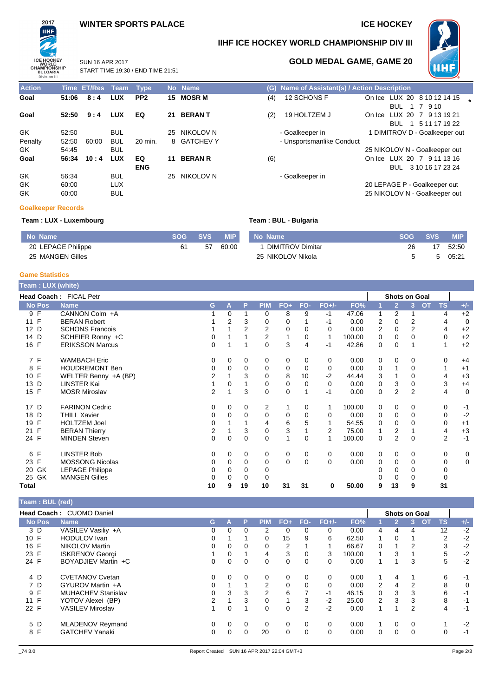### **WINTER SPORTS PALACE ICE HOCKEY**

START TIME 19:30 / END TIME 21:51

SUN 16 APR 2017



### **IIHF ICE HOCKEY WORLD CHAMPIONSHIP DIV III**



### **GOLD MEDAL GAME, GAME 20**

**Action Time ET/Res Team Type No Name (G) Name of Assistant(s) / Action Description Goal 51:06 8:4 LUX PP2 15 MOSR M** (4) 12 SCHONS F On Ice LUX 20 8 10 12 14 15 **Goal 52:50 9:4 LUX EQ 21 BERAN T** (2) 19 HOLTZEM J On Ice LUX 20 7 9 13 19 21 GK 52:50 BUL 25 NIKOLOV N - Goalkeeper in 1 DIMITROV D - Goalkeeper out Penalty 52:50 60:00 BUL 20 min. 8 GATCHEV Y - Unsportsmanlike Conduct - Unsportsmanlike Conduct - GK GK 54:45 BUL 25 NIKOLOV N - Goalkeeper out **Goal 56:34 10 : 4 LUX EQ ENG** GK 56:34 BUL 25 NIKOLOV N - Goalkeeper in GK 60:00 LUX **60:00** LUX **CONFIDENT CONFIDENT CONFIDENT CONFIDENT CONFIDENT CONFIDENT CONFIDENT CONFIDENT CONFIDENTI** GK 60:00 BUL 25 NIKOLOV N - Goalkeeper out

# BUL 1 7 9 10 BUL 1 5 11 17 19 22 **11 BERAN R** (6) **CONFIDENT CON ICE LUX 20 7 9 11 13 16** BUL 3 10 16 17 23 24

### **Goalkeeper Records**

### **Team : LUX - Luxembourg Team : BUL - Bulgaria**

| No Name            | <b>SOG</b> | <b>SVS</b> | <b>MIP</b> | No Name                 | <b>SOG</b> | <b>SVS</b> | <b>MIP</b> |
|--------------------|------------|------------|------------|-------------------------|------------|------------|------------|
| 20 LEPAGE Philippe |            | 57         | 60:00      | <b>DIMITROV Dimitar</b> | 26         |            | 52:50      |
| 25 MANGEN Gilles   |            |            |            | 25 NIKOLOV Nikola       |            |            | 05:21      |

### **Game Statistics**

| Team : LUX (white) |                        |                |          |          |            |          |          |          |        |                |                |                |           |                |             |
|--------------------|------------------------|----------------|----------|----------|------------|----------|----------|----------|--------|----------------|----------------|----------------|-----------|----------------|-------------|
|                    | Head Coach: FICAL Petr |                |          |          |            |          |          |          |        |                | Shots on Goal  |                |           |                |             |
| <b>No Pos</b>      | <b>Name</b>            | G              | A        | P        | <b>PIM</b> | $FO+$    | FO-      | $FO+/-$  | FO%    |                | $\overline{2}$ | 3 <sup>2</sup> | <b>OT</b> | <b>TS</b>      | $+/-$       |
| 9 F                | CANNON Colm +A         |                | 0        |          | 0          | 8        | 9        | $-1$     | 47.06  |                | 2              |                |           | 4              | $+2$        |
| 11 F               | <b>BERAN Robert</b>    |                | 2        | 3        | 0          | $\Omega$ |          | -1       | 0.00   | 2              | $\Omega$       | 2              |           | 4              | $\mathbf 0$ |
| 12 D               | <b>SCHONS Francois</b> |                |          |          | 2          | 0        | 0        | 0        | 0.00   | $\overline{2}$ | 0              | $\overline{2}$ |           | 4              | $+2$        |
| 14 D               | SCHEIER Ronny +C       | 0              |          |          | 2          |          | 0        | 1        | 100.00 | 0              | $\Omega$       | 0              |           | $\Omega$       | $+2$        |
| 16 F               | <b>ERIKSSON Marcus</b> | 0              |          |          | $\Omega$   | 3        | 4        | -1       | 42.86  | 0              | $\mathbf 0$    |                |           |                | $+2$        |
| 7 F                | <b>WAMBACH Eric</b>    | 0              | 0        | 0        | 0          | 0        | 0        | 0        | 0.00   | 0              | 0              | 0              |           | 0              | $+4$        |
| $\mathsf{F}$<br>8  | <b>HOUDREMONT Ben</b>  | 0              | 0        | 0        | 0          | 0        | 0        | 0        | 0.00   | 0              |                | 0              |           |                | $+1$        |
| 10 F               | WELTER Benny +A (BP)   | 2              |          | 3        | 0          | 8        | 10       | $-2$     | 44.44  | 3              |                | 0              |           | 4              | $+3$        |
| 13 D               | <b>LINSTER Kai</b>     |                | 0        |          | 0          | 0        | 0        | $\Omega$ | 0.00   | 0              | 3              | 0              |           | 3              | $+4$        |
| 15 F               | <b>MOSR Miroslav</b>   | $\overline{2}$ |          | 3        | $\Omega$   | 0        |          | -1       | 0.00   | 0              | $\overline{2}$ | 2              |           | 4              | $\mathbf 0$ |
| 17 D               | <b>FARINON Cedric</b>  | 0              | 0        | 0        | 2          | 1        | 0        | 1        | 100.00 | 0              | $\mathbf 0$    | 0              |           | 0              | $-1$        |
| 18 D               | THILL Xavier           | 0              | 0        | 0        | 0          | 0        | 0        | $\Omega$ | 0.00   | 0              | 0              | 0              |           | 0              | $-2$        |
| $\mathsf{F}$<br>19 | <b>HOLTZEM Joel</b>    | 0              |          |          | 4          | 6        | 5        |          | 54.55  | 0              | $\Omega$       | 0              |           | 0              | $+1$        |
| 21 F               | <b>BERAN Thierry</b>   | 2              |          | 3        | 0          | 3        |          | 2        | 75.00  |                | 2              |                |           | 4              | $+3$        |
| 24 F               | <b>MINDEN Steven</b>   | 0              | 0        | 0        | 0          | 1        | 0        | 1        | 100.00 | 0              | $\overline{2}$ | 0              |           | $\overline{2}$ | $-1$        |
| 6 F                | LINSTER Bob            | 0              | 0        | 0        | 0          | 0        | 0        | 0        | 0.00   | 0              | $\mathbf 0$    | 0              |           | 0              | 0           |
| 23 F               | <b>MOSSONG Nicolas</b> | 0              | $\Omega$ | $\Omega$ | 0          | 0        | $\Omega$ | $\Omega$ | 0.00   | $\Omega$       | 0              | 0              |           | 0              | $\mathbf 0$ |
| GK<br>20           | <b>LEPAGE Philippe</b> | 0              | 0        | 0        | 0          |          |          |          |        | ი              | 0              | 0              |           | 0              |             |
| GK<br>25           | <b>MANGEN Gilles</b>   | 0              | 0        | 0        | 0          |          |          |          |        |                | 0              | 0              |           | 0              |             |
| Total              |                        | 10             | 9        | 19       | 10         | 31       | 31       | 0        | 50.00  | 9              | 13             | 9              |           | 31             |             |

### **Team : BUL (red) Head Coach :** CUOMO Daniel **Shots on Goal**<br> **Shots on Goal**<br> **Shots on Goal P** PIM FO+ FO- FO+/- FO% 1 2 3 OT **No Pos Name G A P PIM FO+ FO- FO+/- FO% 1 2 3 OT TS +/-** 3 D VASILEV Vasiliy +A 0 0 0 2 0 0 0 0.00 4 4 4 12 -2 10 F HODULOV Ivan 0 1 1 0 15 9 6 62.50 1 0 1 2 -2 16 F NIKOLOV Martin 0 0 0 0 2 1 1 66.67 0 1 2 3 -2 1 SKRENOV Georgi 1 0 1 4 3 0 3 100.00 1 3 1 24 F BOYADJIEV Martin +C 0 0 0 0 0 0 0 0.00 1 1 3 5 -2 4 D CVETANOV Cvetan 0 0 0 0 0 0 0 0.00 1 4 1 6 -1 7 D GYUROV Martin +A 0 1 1 2 0 0 0 0.00 2 4 2 8 0 9 F MUHACHEV Stanislav<br>11 F YOTOV Alexei (BP) 11 T YOTOV Alexei (BP) 2 1 3 0 1 3 -2 25.00 2 3 3 8 -1 22 F VASILEV Miroslav 1 0 1 0 0 2 -2 0.00 1 1 2 4 -1 5 D MLADENOV Reymand 0 0 0 0 0 0 0 0.00 1 0 0 1 -2 8 F GATCHEV Yanaki 0 0 0 20 0 0 0 0.00 0 0 0 0 -1